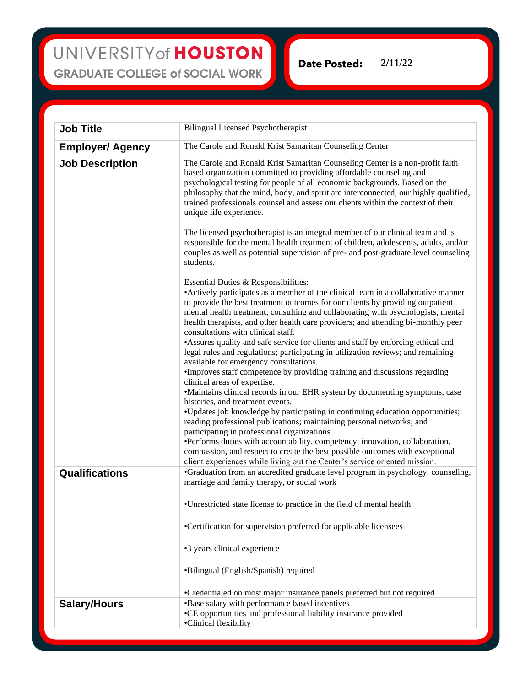**Date Posted: 2/11/22**

| <b>Job Title</b>        | <b>Bilingual Licensed Psychotherapist</b>                                                                                                                                                                                                                                                                                                                                                                                                 |
|-------------------------|-------------------------------------------------------------------------------------------------------------------------------------------------------------------------------------------------------------------------------------------------------------------------------------------------------------------------------------------------------------------------------------------------------------------------------------------|
| <b>Employer/ Agency</b> | The Carole and Ronald Krist Samaritan Counseling Center                                                                                                                                                                                                                                                                                                                                                                                   |
| <b>Job Description</b>  | The Carole and Ronald Krist Samaritan Counseling Center is a non-profit faith<br>based organization committed to providing affordable counseling and<br>psychological testing for people of all economic backgrounds. Based on the<br>philosophy that the mind, body, and spirit are interconnected, our highly qualified,<br>trained professionals counsel and assess our clients within the context of their<br>unique life experience. |
|                         | The licensed psychotherapist is an integral member of our clinical team and is<br>responsible for the mental health treatment of children, adolescents, adults, and/or<br>couples as well as potential supervision of pre- and post-graduate level counseling<br>students.                                                                                                                                                                |
|                         | Essential Duties & Responsibilities:                                                                                                                                                                                                                                                                                                                                                                                                      |
|                         | • Actively participates as a member of the clinical team in a collaborative manner<br>to provide the best treatment outcomes for our clients by providing outpatient<br>mental health treatment; consulting and collaborating with psychologists, mental<br>health therapists, and other health care providers; and attending bi-monthly peer<br>consultations with clinical staff.                                                       |
|                         | • Assures quality and safe service for clients and staff by enforcing ethical and<br>legal rules and regulations; participating in utilization reviews; and remaining<br>available for emergency consultations.                                                                                                                                                                                                                           |
|                         | •Improves staff competence by providing training and discussions regarding                                                                                                                                                                                                                                                                                                                                                                |
|                         | clinical areas of expertise.<br>•Maintains clinical records in our EHR system by documenting symptoms, case                                                                                                                                                                                                                                                                                                                               |
|                         | histories, and treatment events.                                                                                                                                                                                                                                                                                                                                                                                                          |
|                         | •Updates job knowledge by participating in continuing education opportunities;<br>reading professional publications; maintaining personal networks; and<br>participating in professional organizations.                                                                                                                                                                                                                                   |
|                         | ·Performs duties with accountability, competency, innovation, collaboration,<br>compassion, and respect to create the best possible outcomes with exceptional<br>client experiences while living out the Center's service oriented mission.                                                                                                                                                                                               |
| <b>Qualifications</b>   | •Graduation from an accredited graduate level program in psychology, counseling,<br>marriage and family therapy, or social work                                                                                                                                                                                                                                                                                                           |
|                         | •Unrestricted state license to practice in the field of mental health                                                                                                                                                                                                                                                                                                                                                                     |
|                         | •Certification for supervision preferred for applicable licensees                                                                                                                                                                                                                                                                                                                                                                         |
|                         | •3 years clinical experience                                                                                                                                                                                                                                                                                                                                                                                                              |
|                         | •Bilingual (English/Spanish) required                                                                                                                                                                                                                                                                                                                                                                                                     |
|                         | •Credentialed on most major insurance panels preferred but not required                                                                                                                                                                                                                                                                                                                                                                   |
| <b>Salary/Hours</b>     | •Base salary with performance based incentives<br>•CE opportunities and professional liability insurance provided<br>•Clinical flexibility                                                                                                                                                                                                                                                                                                |